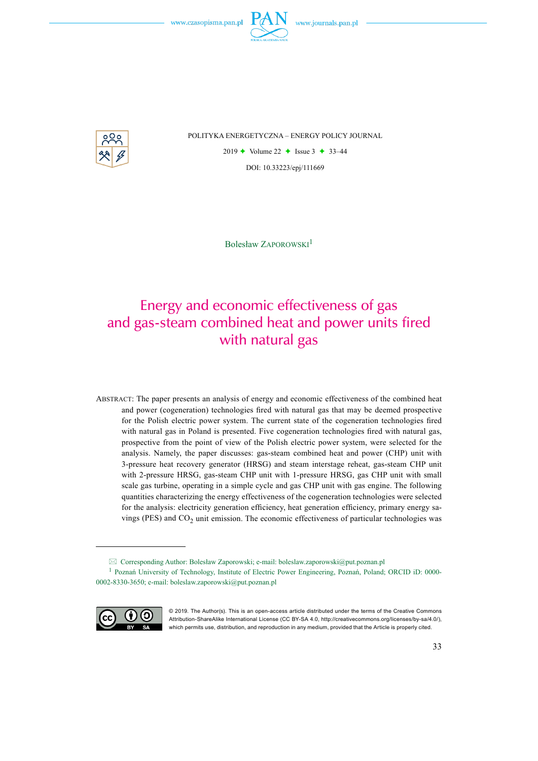

POLITYKA ENERGETYCZNA – ENERGY POLICY JOURNAL

2019  $\rightarrow$  Volume 22  $\rightarrow$  Issue 3  $\rightarrow$  33–44 DOI: 10.33223/epj/111669

Bolesław Zaporowski<sup>1</sup>

## Energy and economic effectiveness of gas and gas-steam combined heat and power units fired with natural gas

Abstract: The paper presents an analysis of energy and economic effectiveness of the combined heat and power (cogeneration) technologies fired with natural gas that may be deemed prospective for the Polish electric power system. The current state of the cogeneration technologies fired with natural gas in Poland is presented. Five cogeneration technologies fired with natural gas, prospective from the point of view of the Polish electric power system, were selected for the analysis. Namely, the paper discusses: gas-steam combined heat and power (CHP) unit with 3-pressure heat recovery generator (HRSG) and steam interstage reheat, gas-steam CHP unit with 2-pressure HRSG, gas-steam CHP unit with 1-pressure HRSG, gas CHP unit with small scale gas turbine, operating in a simple cycle and gas CHP unit with gas engine. The following quantities characterizing the energy effectiveness of the cogeneration technologies were selected for the analysis: electricity generation efficiency, heat generation efficiency, primary energy savings (PES) and  $CO<sub>2</sub>$  unit emission. The economic effectiveness of particular technologies was

<sup>1</sup> Poznań University of Technology, Institute of Electric Power Engineering, Poznań, Poland; ORCID iD: 0000- 0002-8330-3650; e-mail: boleslaw.zaporowski@put.poznan.pl



<sup>© 2019.</sup> The Author(s). This is an open-access article distributed under the terms of the Creative Commons Attribution-ShareAlike International License (CC BY-SA 4.0, http://creativecommons.org/licenses/by-sa/4.0/), which permits use, distribution, and reproduction in any medium, provided that the Article is properly cited.

 $\boxtimes$  Corresponding Author: Bolesław Zaporowski; e-mail: bolesław.zaporowski@put.poznan.pl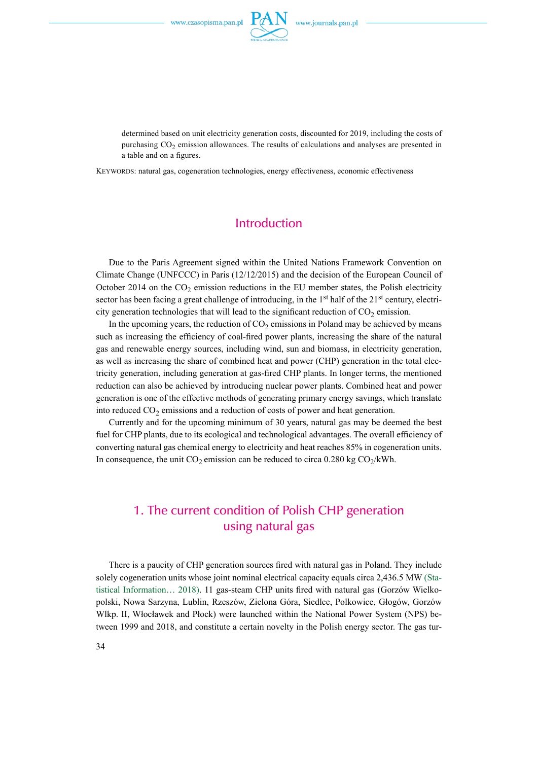

determined based on unit electricity generation costs, discounted for 2019, including the costs of purchasing CO<sub>2</sub> emission allowances. The results of calculations and analyses are presented in a table and on a figures.

Keywords: natural gas, cogeneration technologies, energy effectiveness, economic effectiveness

### Introduction

Due to the Paris Agreement signed within the United Nations Framework Convention on Climate Change (UNFCCC) in Paris (12/12/2015) and the decision of the European Council of October 2014 on the  $CO<sub>2</sub>$  emission reductions in the EU member states, the Polish electricity sector has been facing a great challenge of introducing, in the 1<sup>st</sup> half of the 21<sup>st</sup> century, electricity generation technologies that will lead to the significant reduction of  $CO<sub>2</sub>$  emission.

In the upcoming years, the reduction of  $CO<sub>2</sub>$  emissions in Poland may be achieved by means such as increasing the efficiency of coal-fired power plants, increasing the share of the natural gas and renewable energy sources, including wind, sun and biomass, in electricity generation, as well as increasing the share of combined heat and power (CHP) generation in the total electricity generation, including generation at gas-fired CHP plants. In longer terms, the mentioned reduction can also be achieved by introducing nuclear power plants. Combined heat and power generation is one of the effective methods of generating primary energy savings, which translate into reduced  $CO<sub>2</sub>$  emissions and a reduction of costs of power and heat generation.

Currently and for the upcoming minimum of 30 years, natural gas may be deemed the best fuel for CHP plants, due to its ecological and technological advantages. The overall efficiency of converting natural gas chemical energy to electricity and heat reaches 85% in cogeneration units. In consequence, the unit  $CO_2$  emission can be reduced to circa 0.280 kg  $CO_2/kWh$ .

## 1. The current condition of Polish CHP generation using natural gas

There is a paucity of CHP generation sources fired with natural gas in Poland. They include solely cogeneration units whose joint nominal electrical capacity equals circa 2,436.5 MW (Statistical Information… 2018). 11 gas-steam CHP units fired with natural gas (Gorzów Wielkopolski, Nowa Sarzyna, Lublin, Rzeszów, Zielona Góra, Siedlce, Polkowice, Głogów, Gorzów Wlkp. II, Włocławek and Płock) were launched within the National Power System (NPS) between 1999 and 2018, and constitute a certain novelty in the Polish energy sector. The gas tur-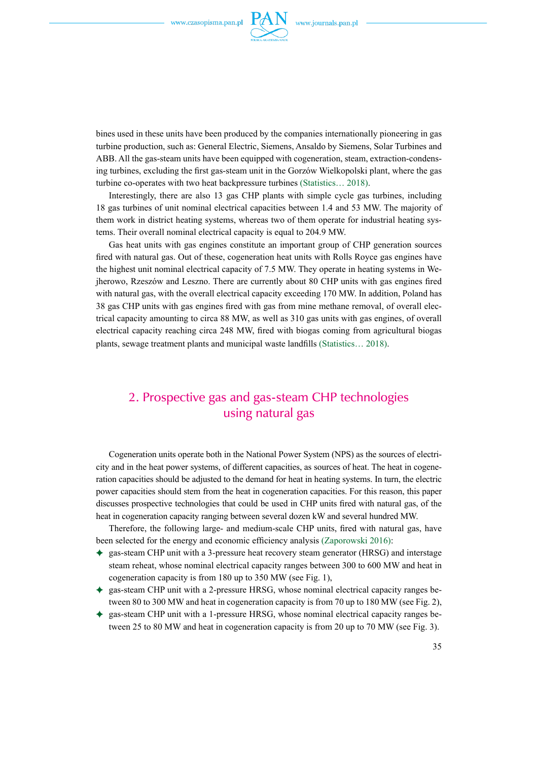

bines used in these units have been produced by the companies internationally pioneering in gas turbine production, such as: General Electric, Siemens, Ansaldo by Siemens, Solar Turbines and ABB. All the gas-steam units have been equipped with cogeneration, steam, extraction-condensing turbines, excluding the first gas-steam unit in the Gorzów Wielkopolski plant, where the gas turbine co-operates with two heat backpressure turbines (Statistics… 2018).

Interestingly, there are also 13 gas CHP plants with simple cycle gas turbines, including 18 gas turbines of unit nominal electrical capacities between 1.4 and 53 MW. The majority of them work in district heating systems, whereas two of them operate for industrial heating systems. Their overall nominal electrical capacity is equal to 204.9 MW.

Gas heat units with gas engines constitute an important group of CHP generation sources fired with natural gas. Out of these, cogeneration heat units with Rolls Royce gas engines have the highest unit nominal electrical capacity of 7.5 MW. They operate in heating systems in Wejherowo, Rzeszów and Leszno. There are currently about 80 CHP units with gas engines fired with natural gas, with the overall electrical capacity exceeding 170 MW. In addition, Poland has 38 gas CHP units with gas engines fired with gas from mine methane removal, of overall electrical capacity amounting to circa 88 MW, as well as 310 gas units with gas engines, of overall electrical capacity reaching circa 248 MW, fired with biogas coming from agricultural biogas plants, sewage treatment plants and municipal waste landfills (Statistics… 2018).

## 2. Prospective gas and gas-steam CHP technologies using natural gas

Cogeneration units operate both in the National Power System (NPS) as the sources of electricity and in the heat power systems, of different capacities, as sources of heat. The heat in cogeneration capacities should be adjusted to the demand for heat in heating systems. In turn, the electric power capacities should stem from the heat in cogeneration capacities. For this reason, this paper discusses prospective technologies that could be used in CHP units fired with natural gas, of the heat in cogeneration capacity ranging between several dozen kW and several hundred MW.

Therefore, the following large- and medium-scale CHP units, fired with natural gas, have been selected for the energy and economic efficiency analysis (Zaporowski 2016):

- ) gas-steam CHP unit with a 3-pressure heat recovery steam generator (HRSG) and interstage steam reheat, whose nominal electrical capacity ranges between 300 to 600 MW and heat in cogeneration capacity is from 180 up to 350 MW (see Fig. 1),
- $\triangleq$  gas-steam CHP unit with a 2-pressure HRSG, whose nominal electrical capacity ranges between 80 to 300 MW and heat in cogeneration capacity is from 70 up to 180 MW (see Fig. 2),
- ) gas-steam CHP unit with a 1-pressure HRSG, whose nominal electrical capacity ranges between 25 to 80 MW and heat in cogeneration capacity is from 20 up to 70 MW (see Fig. 3).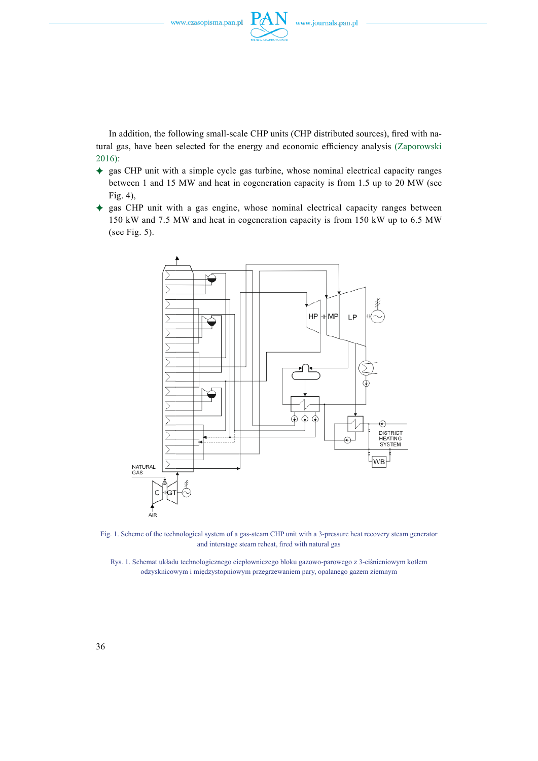

In addition, the following small-scale CHP units (CHP distributed sources), fired with natural gas, have been selected for the energy and economic efficiency analysis (Zaporowski 2016):

- ) gas CHP unit with a simple cycle gas turbine, whose nominal electrical capacity ranges between 1 and 15 MW and heat in cogeneration capacity is from 1.5 up to 20 MW (see Fig. 4),
- ) gas CHP unit with a gas engine, whose nominal electrical capacity ranges between 150 kW and 7.5 MW and heat in cogeneration capacity is from 150 kW up to 6.5 MW (see Fig. 5).



Fig. 1. Scheme of the technological system of a gas-steam CHP unit with a 3-pressure heat recovery steam generator and interstage steam reheat, fired with natural gas

Rys. 1. Schemat układu technologicznego ciepłowniczego bloku gazowo-parowego z 3-ciśnieniowym kotłem odzysknicowym i międzystopniowym przegrzewaniem pary, opalanego gazem ziemnym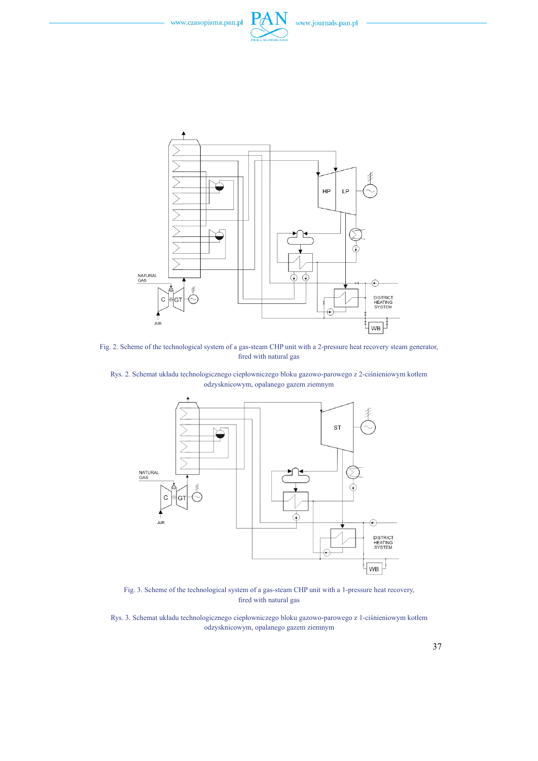



Fig. 2. Scheme of the technological system of a gas-steam CHP unit with a 2-pressure heat recovery steam generator, fired with natural gas

Rys. 2. Schemat układu technologicznego ciepłowniczego bloku gazowo-parowego z 2-ciśnieniowym kotłem odzysknicowym, opalanego gazem ziemnym



Fig. 3. Scheme of the technological system of a gas-steam CHP unit with a 1-pressure heat recovery, fired with natural gas

Rys. 3. Schemat układu technologicznego ciepłowniczego bloku gazowo-parowego z 1-ciśnieniowym kotłem odzysknicowym, opalanego gazem ziemnym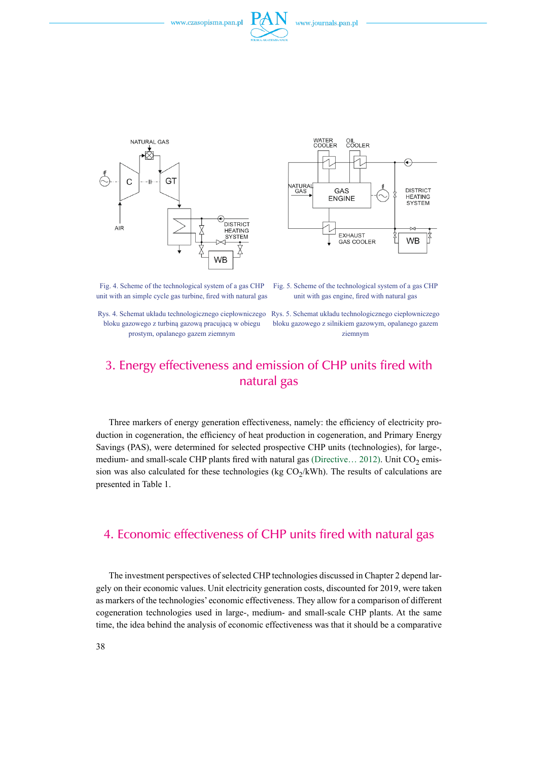





Fig. 4. Scheme of the technological system of a gas CHP unit with an simple cycle gas turbine, fired with natural gas

bloku gazowego z turbiną gazową pracującą w obiegu prostym, opalanego gazem ziemnym

Fig. 5. Scheme of the technological system of a gas CHP unit with gas engine, fired with natural gas

Rys. 4. Schemat układu technologicznego ciepłowniczego Rys. 5. Schemat układu technologicznego ciepłowniczego bloku gazowego z silnikiem gazowym, opalanego gazem ziemnym

## 3. Energy effectiveness and emission of CHP units fired with natural gas

Three markers of energy generation effectiveness, namely: the efficiency of electricity production in cogeneration, the efficiency of heat production in cogeneration, and Primary Energy Savings (PAS), were determined for selected prospective CHP units (technologies), for large-, medium- and small-scale CHP plants fired with natural gas (Directive... 2012). Unit  $CO<sub>2</sub>$  emission was also calculated for these technologies (kg  $CO_2/kWh$ ). The results of calculations are presented in Table 1.

## 4. Economic effectiveness of CHP units fired with natural gas

The investment perspectives of selected CHP technologies discussed in Chapter 2 depend largely on their economic values. Unit electricity generation costs, discounted for 2019, were taken as markers of the technologies' economic effectiveness. They allow for a comparison of different cogeneration technologies used in large-, medium- and small-scale CHP plants. At the same time, the idea behind the analysis of economic effectiveness was that it should be a comparative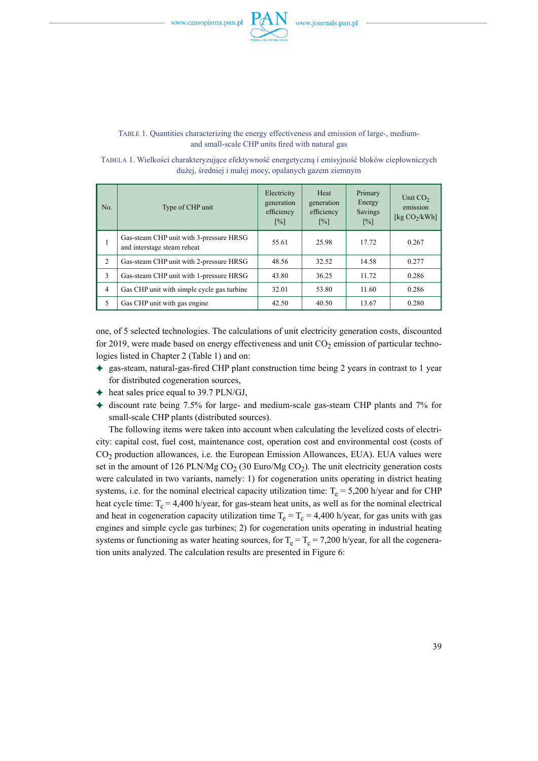

#### Table 1. Quantities characterizing the energy effectiveness and emission of large-, mediumand small-scale CHP units fired with natural gas

Tabela 1. Wielkości charakteryzujące efektywność energetyczną i emisyjność bloków ciepłowniczych dużej, średniej i małej mocy, opalanych gazem ziemnym

| No.            | Type of CHP unit                                                       | Electricity<br>generation<br>efficiency<br>$\lceil\% \rceil$ | Heat<br>generation<br>efficiency<br>$\lceil\% \rceil$ | Primary<br>Energy<br>Savings<br>$\lceil\% \rceil$ | Unit $CO2$<br>emission<br>[kg $CO2/kWh$ ] |
|----------------|------------------------------------------------------------------------|--------------------------------------------------------------|-------------------------------------------------------|---------------------------------------------------|-------------------------------------------|
| 1              | Gas-steam CHP unit with 3-pressure HRSG<br>and interstage steam reheat | 55.61                                                        | 25.98                                                 | 17.72                                             | 0.267                                     |
| 2              | Gas-steam CHP unit with 2-pressure HRSG                                | 48.56                                                        | 32.52                                                 | 14.58                                             | 0.277                                     |
| 3              | Gas-steam CHP unit with 1-pressure HRSG                                | 43.80                                                        | 36.25                                                 | 11.72                                             | 0.286                                     |
| $\overline{4}$ | Gas CHP unit with simple cycle gas turbine                             | 32.01                                                        | 53.80                                                 | 11.60                                             | 0.286                                     |
| 5              | Gas CHP unit with gas engine                                           | 42.50                                                        | 40.50                                                 | 13.67                                             | 0.280                                     |

one, of 5 selected technologies. The calculations of unit electricity generation costs, discounted for 2019, were made based on energy effectiveness and unit  $CO<sub>2</sub>$  emission of particular technologies listed in Chapter 2 (Table 1) and on:

- ) gas-steam, natural-gas-fired CHP plant construction time being 2 years in contrast to 1 year for distributed cogeneration sources,
- $\triangleleft$  heat sales price equal to 39.7 PLN/GJ,
- $\triangleq$  discount rate being 7.5% for large- and medium-scale gas-steam CHP plants and 7% for small-scale CHP plants (distributed sources).

The following items were taken into account when calculating the levelized costs of electricity: capital cost, fuel cost, maintenance cost, operation cost and environmental cost (costs of CO2 production allowances, i.e. the European Emission Allowances, EUA). EUA values were set in the amount of 126 PLN/Mg  $CO_2$  (30 Euro/Mg  $CO_2$ ). The unit electricity generation costs were calculated in two variants, namely: 1) for cogeneration units operating in district heating systems, i.e. for the nominal electrical capacity utilization time:  $T_e = 5,200$  h/year and for CHP heat cycle time:  $T_c = 4,400$  h/year, for gas-steam heat units, as well as for the nominal electrical and heat in cogeneration capacity utilization time  $T_e = T_c = 4,400$  h/year, for gas units with gas engines and simple cycle gas turbines; 2) for cogeneration units operating in industrial heating systems or functioning as water heating sources, for  $T_e = T_c = 7,200$  h/year, for all the cogeneration units analyzed. The calculation results are presented in Figure 6: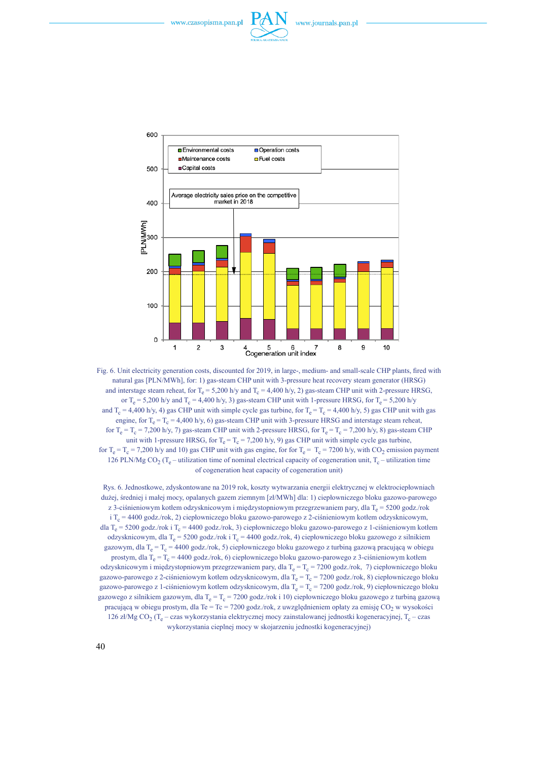



Fig. 6. Unit electricity generation costs, discounted for 2019, in large-, medium- and small-scale CHP plants, fired with natural gas [PLN/MWh], for: 1) gas-steam CHP unit with 3-pressure heat recovery steam generator (HRSG) and interstage steam reheat, for  $T_e = 5,200$  h/y and  $T_c = 4,400$  h/y, 2) gas-steam CHP unit with 2-pressure HRSG, or T<sub>e</sub> = 5,200 h/y and T<sub>c</sub> = 4,400 h/y, 3) gas-steam CHP unit with 1-pressure HRSG, for T<sub>e</sub> = 5,200 h/y and  $T_c = 4,400$  h/y, 4) gas CHP unit with simple cycle gas turbine, for  $T_e = T_c = 4,400$  h/y, 5) gas CHP unit with gas engine, for  $T_e = T_c = 4,400$  h/y, 6) gas-steam CHP unit with 3-pressure HRSG and interstage steam reheat, for  $T_e = T_c = 7,200$  h/y, 7) gas-steam CHP unit with 2-pressure HRSG, for  $T_e = T_c = 7,200$  h/y, 8) gas-steam CHP unit with 1-pressure HRSG, for  $T_e = T_c = 7,200$  h/y, 9) gas CHP unit with simple cycle gas turbine, for  $T_e = T_c = 7,200$  h/y and 10) gas CHP unit with gas engine, for for  $T_e = T_c = 7200$  h/y, with CO<sub>2</sub> emission payment 126 PLN/Mg CO<sub>2</sub> (T<sub>e</sub> – utilization time of nominal electrical capacity of cogeneration unit, T<sub>c</sub> – utilization time of cogeneration heat capacity of cogeneration unit)

Rys. 6. Jednostkowe, zdyskontowane na 2019 rok, koszty wytwarzania energii elektrycznej w elektrociepłowniach dużej, średniej i małej mocy, opalanych gazem ziemnym [zł/MWh] dla: 1) ciepłowniczego bloku gazowo-parowego z 3-ciśnieniowym kotłem odzysknicowym i międzystopniowym przegrzewaniem pary, dla T<sub>e</sub> = 5200 godz./rok i  $T_c = 4400 \text{ godz}/\text{rok}$ , 2) ciepłowniczego bloku gazowo-parowego z 2-ciśnieniowym kotłem odzysknicowym, dla T<sub>e</sub> = 5200 godz./rok i T<sub>c</sub> = 4400 godz./rok, 3) ciepłowniczego bloku gazowo-parowego z 1-ciśnieniowym kotłem odzysknicowym, dla T<sub>e</sub> = 5200 godz./rok i T<sub>c</sub> = 4400 godz./rok, 4) ciepłowniczego bloku gazowego z silnikiem gazowym, dla T<sub>e</sub> = T<sub>c</sub> = 4400 godz./rok, 5) ciepłowniczego bloku gazowego z turbiną gazową pracującą w obiegu prostym, dla T<sub>e</sub> =  $T_c$  = 4400 godz./rok, 6) ciepłowniczego bloku gazowo-parowego z 3-ciśnieniowym kotłem odzysknicowym i międzystopniowym przegrzewaniem pary, dla T<sub>e</sub> = T<sub>c</sub> = 7200 godz./rok, 7) ciepłowniczego bloku gazowo-parowego z 2-ciśnieniowym kotłem odzysknicowym, dla  $T_e = T_c = 7200$  godz./rok, 8) ciepłowniczego bloku gazowo-parowego z 1-ciśnieniowym kotłem odzysknicowym, dla T<sub>e</sub> = T<sub>c</sub> = 7200 godz./rok, 9) ciepłowniczego bloku gazowego z silnikiem gazowym, dla T<sub>e</sub> = T<sub>c</sub> = 7200 godz./rok i 10) ciepłowniczego bloku gazowego z turbiną gazową pracującą w obiegu prostym, dla Te = Tc = 7200 godz./rok, z uwzględnieniem opłaty za emisję CO<sub>2</sub> w wysokości 126 zł/Mg CO<sub>2</sub> (T<sub>e</sub> – czas wykorzystania elektrycznej mocy zainstalowanej jednostki kogeneracyjnej, T<sub>c</sub> – czas wykorzystania cieplnej mocy w skojarzeniu jednostki kogeneracyjnej)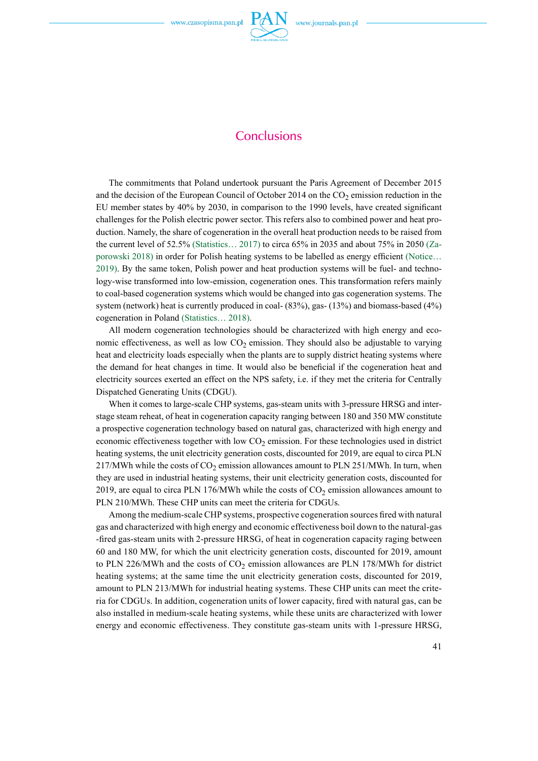

# **Conclusions**

The commitments that Poland undertook pursuant the Paris Agreement of December 2015 and the decision of the European Council of October 2014 on the  $CO<sub>2</sub>$  emission reduction in the EU member states by 40% by 2030, in comparison to the 1990 levels, have created significant challenges for the Polish electric power sector. This refers also to combined power and heat production. Namely, the share of cogeneration in the overall heat production needs to be raised from the current level of 52.5% (Statistics… 2017) to circa 65% in 2035 and about 75% in 2050 (Zaporowski 2018) in order for Polish heating systems to be labelled as energy efficient (Notice… 2019). By the same token, Polish power and heat production systems will be fuel- and technology-wise transformed into low-emission, cogeneration ones. This transformation refers mainly to coal-based cogeneration systems which would be changed into gas cogeneration systems. The system (network) heat is currently produced in coal- (83%), gas- (13%) and biomass-based (4%) cogeneration in Poland (Statistics… 2018).

All modern cogeneration technologies should be characterized with high energy and economic effectiveness, as well as low  $CO<sub>2</sub>$  emission. They should also be adjustable to varying heat and electricity loads especially when the plants are to supply district heating systems where the demand for heat changes in time. It would also be beneficial if the cogeneration heat and electricity sources exerted an effect on the NPS safety, i.e. if they met the criteria for Centrally Dispatched Generating Units (CDGU).

When it comes to large-scale CHP systems, gas-steam units with 3-pressure HRSG and interstage steam reheat, of heat in cogeneration capacity ranging between 180 and 350 MW constitute a prospective cogeneration technology based on natural gas, characterized with high energy and economic effectiveness together with low  $CO<sub>2</sub>$  emission. For these technologies used in district heating systems, the unit electricity generation costs, discounted for 2019, are equal to circa PLN 217/MWh while the costs of  $CO<sub>2</sub>$  emission allowances amount to PLN 251/MWh. In turn, when they are used in industrial heating systems, their unit electricity generation costs, discounted for 2019, are equal to circa PLN 176/MWh while the costs of  $CO<sub>2</sub>$  emission allowances amount to PLN 210/MWh. These CHP units can meet the criteria for CDGUs.

Among the medium-scale CHP systems, prospective cogeneration sources fired with natural gas and characterized with high energy and economic effectiveness boil down to the natural-gas -fired gas-steam units with 2-pressure HRSG, of heat in cogeneration capacity raging between 60 and 180 MW, for which the unit electricity generation costs, discounted for 2019, amount to PLN 226/MWh and the costs of  $CO<sub>2</sub>$  emission allowances are PLN 178/MWh for district heating systems; at the same time the unit electricity generation costs, discounted for 2019, amount to PLN 213/MWh for industrial heating systems. These CHP units can meet the criteria for CDGUs. In addition, cogeneration units of lower capacity, fired with natural gas, can be also installed in medium-scale heating systems, while these units are characterized with lower energy and economic effectiveness. They constitute gas-steam units with 1-pressure HRSG,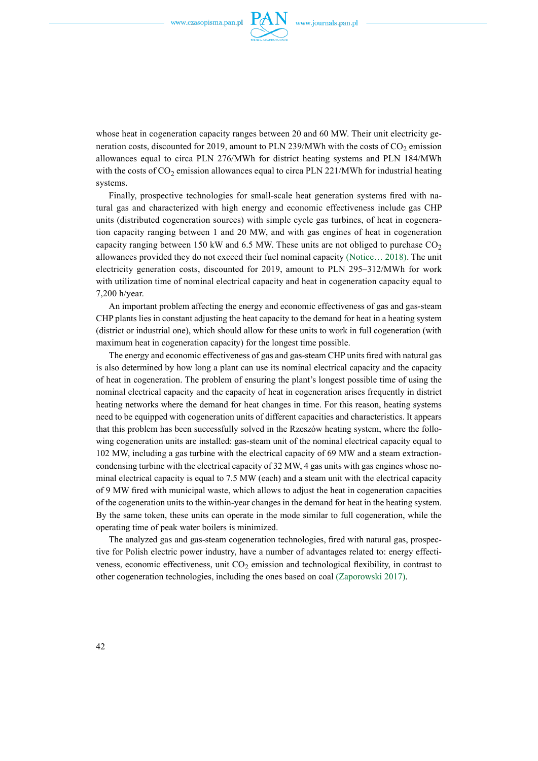

whose heat in cogeneration capacity ranges between 20 and 60 MW. Their unit electricity generation costs, discounted for 2019, amount to PLN 239/MWh with the costs of  $CO<sub>2</sub>$  emission allowances equal to circa PLN 276/MWh for district heating systems and PLN 184/MWh with the costs of  $CO_2$  emission allowances equal to circa PLN 221/MWh for industrial heating systems.

Finally, prospective technologies for small-scale heat generation systems fired with natural gas and characterized with high energy and economic effectiveness include gas CHP units (distributed cogeneration sources) with simple cycle gas turbines, of heat in cogeneration capacity ranging between 1 and 20 MW, and with gas engines of heat in cogeneration capacity ranging between 150 kW and 6.5 MW. These units are not obliged to purchase  $CO<sub>2</sub>$ allowances provided they do not exceed their fuel nominal capacity (Notice… 2018). The unit electricity generation costs, discounted for 2019, amount to PLN 295–312/MWh for work with utilization time of nominal electrical capacity and heat in cogeneration capacity equal to 7,200 h/year.

An important problem affecting the energy and economic effectiveness of gas and gas-steam CHP plants lies in constant adjusting the heat capacity to the demand for heat in a heating system (district or industrial one), which should allow for these units to work in full cogeneration (with maximum heat in cogeneration capacity) for the longest time possible.

The energy and economic effectiveness of gas and gas-steam CHP units fired with natural gas is also determined by how long a plant can use its nominal electrical capacity and the capacity of heat in cogeneration. The problem of ensuring the plant's longest possible time of using the nominal electrical capacity and the capacity of heat in cogeneration arises frequently in district heating networks where the demand for heat changes in time. For this reason, heating systems need to be equipped with cogeneration units of different capacities and characteristics. It appears that this problem has been successfully solved in the Rzeszów heating system, where the following cogeneration units are installed: gas-steam unit of the nominal electrical capacity equal to 102 MW, including a gas turbine with the electrical capacity of 69 MW and a steam extractioncondensing turbine with the electrical capacity of 32 MW, 4 gas units with gas engines whose nominal electrical capacity is equal to 7.5 MW (each) and a steam unit with the electrical capacity of 9 MW fired with municipal waste, which allows to adjust the heat in cogeneration capacities of the cogeneration units to the within-year changes in the demand for heat in the heating system. By the same token, these units can operate in the mode similar to full cogeneration, while the operating time of peak water boilers is minimized.

The analyzed gas and gas-steam cogeneration technologies, fired with natural gas, prospective for Polish electric power industry, have a number of advantages related to: energy effectiveness, economic effectiveness, unit  $CO<sub>2</sub>$  emission and technological flexibility, in contrast to other cogeneration technologies, including the ones based on coal (Zaporowski 2017).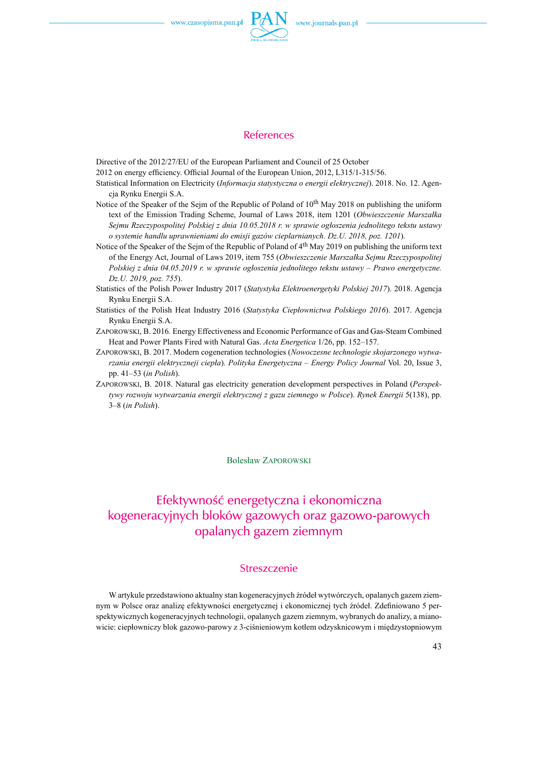

## References

Directive of the 2012/27/EU of the European Parliament and Council of 25 October

2012 on energy efficiency. Official Journal of the European Union, 2012, L315/1-315/56.

- Statistical Information on Electricity (*Informacja statystyczna o energii elektrycznej*). 2018. No. 12. Agencja Rynku Energii S.A.
- Notice of the Speaker of the Sejm of the Republic of Poland of 10<sup>th</sup> May 2018 on publishing the uniform text of the Emission Trading Scheme, Journal of Laws 2018, item 1201 (*Obwieszczenie Marszałka Sejmu Rzeczypospolitej Polskiej z dnia 10.05.2018 r. w sprawie ogłoszenia jednolitego tekstu ustawy o systemie handlu uprawnieniami do emisji gazów cieplarnianych. Dz.U. 2018, poz. 1201*).
- Notice of the Speaker of the Sejm of the Republic of Poland of 4<sup>th</sup> May 2019 on publishing the uniform text of the Energy Act, Journal of Laws 2019, item 755 (*Obwieszczenie Marszałka Sejmu Rzeczypospolitej Polskiej z dnia 04.05.2019 r. w sprawie ogłoszenia jednolitego tekstu ustawy – Prawo energetyczne. Dz.U. 2019, poz. 755*).
- Statistics of the Polish Power Industry 2017 (*Statystyka Elektroenergetyki Polskiej 2017*). 2018. Agencja Rynku Energii S.A.
- Statistics of the Polish Heat Industry 2016 (*Statystyka Ciepłownictwa Polskiego 2016*). 2017. Agencja Rynku Energii S.A.
- Zaporowski, B. 2016*.* Energy Effectiveness and Economic Performance of Gas and Gas-Steam Combined Heat and Power Plants Fired with Natural Gas. *Acta Energetica* 1/26, pp. 152–157.
- Zaporowski, B. 2017. Modern cogeneration technologies (*Nowoczesne technologie skojarzonego wytwarzania energii elektryczneji ciepła*). *Polityka Energetyczna – Energy Policy Journal* Vol. 20, Issue 3, pp. 41–53 (*in Polish*).
- Zaporowski, B. 2018. Natural gas electricity generation development perspectives in Poland (*Perspektywy rozwoju wytwarzania energii elektrycznej z gazu ziemnego w Polsce*). *Rynek Energii* 5(138), pp. 3–8 (*in Polish*).

Bolesław Zaporowski

## Efektywność energetyczna i ekonomiczna kogeneracyjnych bloków gazowych oraz gazowo-parowych opalanych gazem ziemnym

#### Streszczenie

W artykule przedstawiono aktualny stan kogeneracyjnych źródeł wytwórczych, opalanych gazem ziemnym w Polsce oraz analizę efektywności energetycznej i ekonomicznej tych źródeł. Zdefiniowano 5 perspektywicznych kogeneracyjnych technologii, opalanych gazem ziemnym, wybranych do analizy, a mianowicie: ciepłowniczy blok gazowo-parowy z 3-ciśnieniowym kotłem odzysknicowym i międzystopniowym